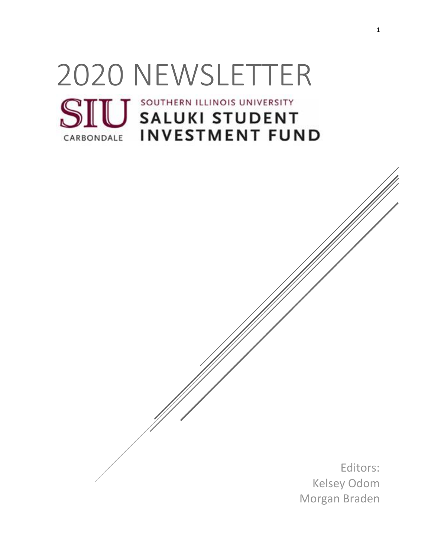# 2020 NEWSLETTER**SIU** SALUKI STUDENT **INVESTMENT FUND** CARBONDALE

Editors: Kelsey Odom Morgan Braden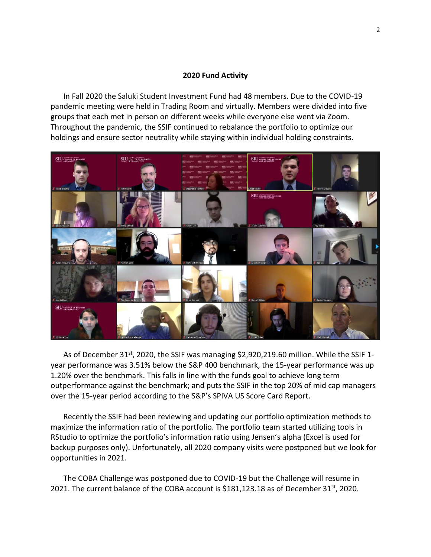#### **2020 Fund Activity**

In Fall 2020 the Saluki Student Investment Fund had 48 members. Due to the COVID-19 pandemic meeting were held in Trading Room and virtually. Members were divided into five groups that each met in person on different weeks while everyone else went via Zoom. Throughout the pandemic, the SSIF continued to rebalance the portfolio to optimize our holdings and ensure sector neutrality while staying within individual holding constraints.



As of December 31<sup>st</sup>, 2020, the SSIF was managing \$2,920,219.60 million. While the SSIF 1year performance was 3.51% below the S&P 400 benchmark, the 15-year performance was up 1.20% over the benchmark. This falls in line with the funds goal to achieve long term outperformance against the benchmark; and puts the SSIF in the top 20% of mid cap managers over the 15-year period according to the S&P's SPIVA US Score Card Report.

Recently the SSIF had been reviewing and updating our portfolio optimization methods to maximize the information ratio of the portfolio. The portfolio team started utilizing tools in RStudio to optimize the portfolio's information ratio using Jensen's alpha (Excel is used for backup purposes only). Unfortunately, all 2020 company visits were postponed but we look for opportunities in 2021.

The COBA Challenge was postponed due to COVID-19 but the Challenge will resume in 2021. The current balance of the COBA account is \$181,123.18 as of December 31<sup>st</sup>, 2020.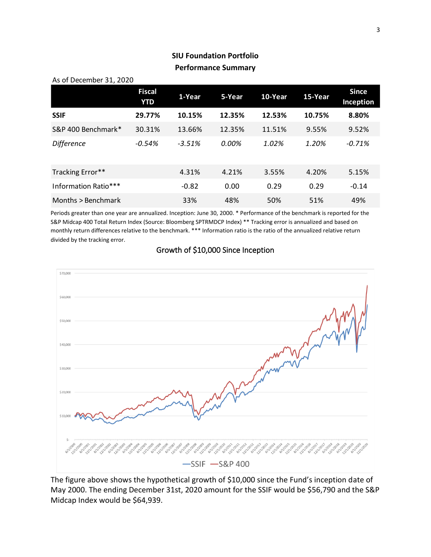# **SIU Foundation Portfolio Performance Summary**

| As of December 31, 2020 |                      |          |        |         |         |                           |  |
|-------------------------|----------------------|----------|--------|---------|---------|---------------------------|--|
|                         | <b>Fiscal</b><br>YTD | 1-Year   | 5-Year | 10-Year | 15-Year | <b>Since</b><br>Inception |  |
| <b>SSIF</b>             | 29.77%               | 10.15%   | 12.35% | 12.53%  | 10.75%  | 8.80%                     |  |
| S&P 400 Benchmark*      | 30.31%               | 13.66%   | 12.35% | 11.51%  | 9.55%   | 9.52%                     |  |
| <b>Difference</b>       | $-0.54%$             | $-3.51%$ | 0.00%  | 1.02%   | 1.20%   | $-0.71%$                  |  |
| Tracking Error**        |                      | 4.31%    | 4.21%  | 3.55%   | 4.20%   | 5.15%                     |  |
| Information Ratio***    |                      | $-0.82$  | 0.00   | 0.29    | 0.29    | $-0.14$                   |  |
| Months > Benchmark      |                      | 33%      | 48%    | 50%     | 51%     | 49%                       |  |

Periods greater than one year are annualized. Inception: June 30, 2000. \* Performance of the benchmark is reported for the S&P Midcap 400 Total Return Index (Source: Bloomberg SPTRMDCP Index) \*\* Tracking error is annualized and based on monthly return differences relative to the benchmark. \*\*\* Information ratio is the ratio of the annualized relative return divided by the tracking error.



## Growth of \$10,000 Since Inception

The figure above shows the hypothetical growth of \$10,000 since the Fund's inception date of May 2000. The ending December 31st, 2020 amount for the SSIF would be \$56,790 and the S&P Midcap Index would be \$64,939.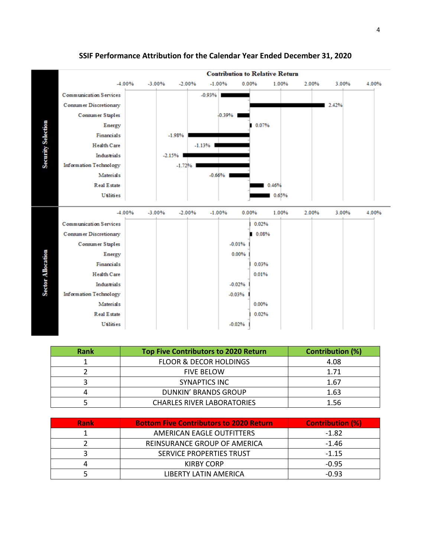

### **SSIF Performance Attribution for the Calendar Year Ended December 31, 2020**

| Rank | <b>Top Five Contributors to 2020 Return</b> | <b>Contribution (%)</b> |
|------|---------------------------------------------|-------------------------|
|      | <b>FLOOR &amp; DECOR HOLDINGS</b>           | 4.08                    |
|      | <b>FIVE BELOW</b>                           | 1.71                    |
|      | SYNAPTICS INC                               | 1.67                    |
|      | <b>DUNKIN' BRANDS GROUP</b>                 | 1.63                    |
|      | <b>CHARLES RIVER LABORATORIES</b>           | 1.56                    |

| <b>Rank</b> | <b>Bottom Five Contributors to 2020 Return</b> | <b>Contribution (%)</b> |
|-------------|------------------------------------------------|-------------------------|
|             | AMERICAN EAGLE OUTFITTERS                      | $-1.82$                 |
|             | REINSURANCE GROUP OF AMERICA                   | -1.46                   |
|             | SERVICE PROPERTIES TRUST                       | $-1.15$                 |
|             | KIRBY CORP                                     | $-0.95$                 |
|             | LIBERTY LATIN AMERICA                          | $-0.93$                 |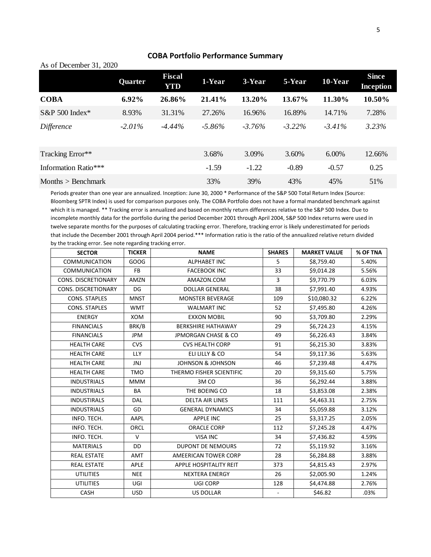| As of December 31, 2020 |           |                      |           |           |           |           |                                  |
|-------------------------|-----------|----------------------|-----------|-----------|-----------|-----------|----------------------------------|
|                         | Quarter   | <b>Fiscal</b><br>YTD | 1-Year    | 3-Year    | 5-Year    | 10-Year   | <b>Since</b><br><b>Inception</b> |
| <b>COBA</b>             | 6.92%     | 26.86%               | 21.41%    | 13.20%    | 13.67%    | 11.30%    | 10.50%                           |
| $S\&P 500$ Index*       | 8.93%     | 31.31%               | 27.26%    | 16.96%    | 16.89%    | 14.71%    | 7.28%                            |
| <i>Difference</i>       | $-2.01\%$ | $-4.44\%$            | $-5.86\%$ | $-3.76\%$ | $-3.22\%$ | $-3.41\%$ | 3.23%                            |
| Tracking Error**        |           |                      | 3.68%     | 3.09%     | 3.60%     | 6.00%     | 12.66%                           |
| Information Ratio***    |           |                      | $-1.59$   | $-1.22$   | $-0.89$   | $-0.57$   | 0.25                             |
| Months $>$ Benchmark    |           |                      | 33%       | 39%       | 43%       | 45%       | 51%                              |

#### **COBA Portfolio Performance Summary**

Periods greater than one year are annualized. Inception: June 30, 2000 \* Performance of the S&P 500 Total Return Index (Source: Bloomberg SPTR Index) is used for comparison purposes only. The COBA Portfolio does not have a formal mandated benchmark against which it is managed. \*\* Tracking error is annualized and based on monthly return differences relative to the S&P 500 Index. Due to incomplete monthly data for the portfolio during the period December 2001 through April 2004, S&P 500 Index returns were used in twelve separate months for the purposes of calculating tracking error. Therefore, tracking error is likely underestimated for periods that include the December 2001 through April 2004 period.\*\*\* Information ratio is the ratio of the annualized relative return divided by the tracking error. See note regarding tracking error.

| <b>SECTOR</b>        | <b>TICKER</b> | <b>NAME</b>                    | <b>SHARES</b>            | <b>MARKET VALUE</b> | % OF TNA |
|----------------------|---------------|--------------------------------|--------------------------|---------------------|----------|
| <b>COMMUNICATION</b> | GOOG          | <b>ALPHABET INC</b>            | 5                        | \$8,759.40          | 5.40%    |
| <b>COMMUNICATION</b> | FB            | <b>FACEBOOK INC</b>            | 33                       | \$9,014.28          | 5.56%    |
| CONS. DISCRETIONARY  | AMZN          | AMAZON.COM                     | 3                        | \$9,770.79          | 6.03%    |
| CONS. DISCRETIONARY  | DG            | <b>DOLLAR GENERAL</b>          | 38                       | \$7,991.40          | 4.93%    |
| <b>CONS. STAPLES</b> | <b>MNST</b>   | <b>MONSTER BEVERAGE</b>        | 109                      | \$10,080.32         | 6.22%    |
| <b>CONS. STAPLES</b> | <b>WMT</b>    | <b>WALMART INC</b>             | 52                       | \$7,495.80          | 4.26%    |
| <b>ENERGY</b>        | <b>XOM</b>    | <b>EXXON MOBIL</b>             | 90                       | \$3,709.80          | 2.29%    |
| <b>FINANCIALS</b>    | BRK/B         | <b>BERKSHIRE HATHAWAY</b>      | 29                       | \$6,724.23          | 4.15%    |
| <b>FINANCIALS</b>    | JPM           | <b>JPMORGAN CHASE &amp; CO</b> | 49                       | \$6,226.43          | 3.84%    |
| <b>HEALTH CARE</b>   | <b>CVS</b>    | <b>CVS HEALTH CORP</b>         | 91                       | \$6,215.30          | 3.83%    |
| <b>HEALTH CARE</b>   | <b>LLY</b>    | ELI LILLY & CO                 | 54                       | \$9,117.36          | 5.63%    |
| <b>HEALTH CARE</b>   | JNJ           | <b>JOHNSON &amp; JOHNSON</b>   | 46                       | \$7,239.48          | 4.47%    |
| <b>HEALTH CARE</b>   | <b>TMO</b>    | THERMO FISHER SCIENTIFIC       | 20                       | \$9,315.60          | 5.75%    |
| <b>INDUSTRIALS</b>   | MMM           | 3M <sub>CO</sub>               | 36                       | \$6,292.44          | 3.88%    |
| <b>INDUSTRIALS</b>   | BA            | THE BOEING CO                  | 18                       | \$3,853.08          | 2.38%    |
| <b>INDUSTIRALS</b>   | <b>DAL</b>    | <b>DELTA AIR LINES</b>         | 111                      | \$4,463.31          | 2.75%    |
| <b>INDUSTRIALS</b>   | GD            | <b>GENERAL DYNAMICS</b>        | 34                       | \$5,059.88          | 3.12%    |
| INFO. TECH.          | AAPL          | <b>APPLE INC</b>               | 25                       | \$3,317.25          | 2.05%    |
| INFO. TECH.          | ORCL          | <b>ORACLE CORP</b>             | 112                      | \$7,245.28          | 4.47%    |
| INFO. TECH.          | $\vee$        | VISA INC                       | 34                       | \$7,436.82          | 4.59%    |
| <b>MATERIALS</b>     | <b>DD</b>     | <b>DUPONT DE NEMOURS</b>       | 72                       | \$5,119.92          | 3.16%    |
| <b>REAL ESTATE</b>   | AMT           | AMEERICAN TOWER CORP           | 28                       | \$6,284.88          | 3.88%    |
| <b>REAL ESTATE</b>   | <b>APLE</b>   | APPLE HOSPITALITY REIT         | 373                      | \$4,815.43          | 2.97%    |
| <b>UTILITIES</b>     | <b>NEE</b>    | <b>NEXTERA ENERGY</b>          | 26                       | \$2,005.90          | 1.24%    |
| <b>UTILITIES</b>     | UGI           | UGI CORP                       | 128                      | \$4,474.88          | 2.76%    |
| <b>CASH</b>          | <b>USD</b>    | <b>US DOLLAR</b>               | $\overline{\phantom{a}}$ | \$46.82             | .03%     |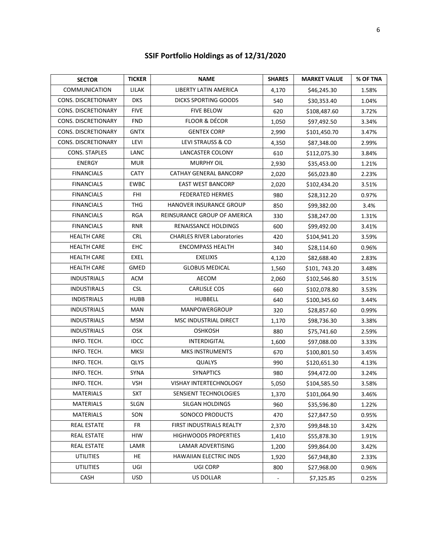| <b>SECTOR</b>        | <b>TICKER</b> | <b>NAME</b>                       | <b>SHARES</b> | <b>MARKET VALUE</b> | % OF TNA |
|----------------------|---------------|-----------------------------------|---------------|---------------------|----------|
| <b>COMMUNICATION</b> | LILAK         | LIBERTY LATIN AMERICA             | 4,170         | \$46,245.30         | 1.58%    |
| CONS. DISCRETIONARY  | <b>DKS</b>    | <b>DICKS SPORTING GOODS</b>       | 540           | \$30,353.40         | 1.04%    |
| CONS. DISCRETIONARY  | <b>FIVE</b>   | <b>FIVE BELOW</b>                 | 620           | \$108,487.60        | 3.72%    |
| CONS. DISCRETIONARY  | <b>FND</b>    | <b>FLOOR &amp; DÉCOR</b>          | 1,050         | \$97,492.50         | 3.34%    |
| CONS. DISCRETIONARY  | <b>GNTX</b>   | <b>GENTEX CORP</b>                | 2,990         | \$101,450.70        | 3.47%    |
| CONS. DISCRETIONARY  | LEVI          | LEVI STRAUSS & CO                 | 4,350         | \$87,348.00         | 2.99%    |
| CONS. STAPLES        | LANC          | <b>LANCASTER COLONY</b>           | 610           | \$112,075.30        | 3.84%    |
| <b>ENERGY</b>        | <b>MUR</b>    | <b>MURPHY OIL</b>                 | 2,930         | \$35,453.00         | 1.21%    |
| <b>FINANCIALS</b>    | <b>CATY</b>   | CATHAY GENERAL BANCORP            | 2,020         | \$65,023.80         | 2.23%    |
| <b>FINANCIALS</b>    | <b>EWBC</b>   | <b>EAST WEST BANCORP</b>          | 2,020         | \$102,434.20        | 3.51%    |
| <b>FINANCIALS</b>    | <b>FHI</b>    | <b>FEDERATED HERMES</b>           | 980           | \$28,312.20         | 0.97%    |
| <b>FINANCIALS</b>    | <b>THG</b>    | HANOVER INSURANCE GROUP           | 850           | \$99,382.00         | 3.4%     |
| <b>FINANCIALS</b>    | <b>RGA</b>    | REINSURANCE GROUP OF AMERICA      | 330           | \$38,247.00         | 1.31%    |
| <b>FINANCIALS</b>    | <b>RNR</b>    | RENAISSANCE HOLDINGS              | 600           | \$99,492.00         | 3.41%    |
| <b>HEALTH CARE</b>   | <b>CRL</b>    | <b>CHARLES RIVER Laboratories</b> | 420           | \$104,941.20        | 3.59%    |
| <b>HEALTH CARE</b>   | EHC           | <b>ENCOMPASS HEALTH</b>           | 340           | \$28,114.60         | 0.96%    |
| <b>HEALTH CARE</b>   | <b>EXEL</b>   | <b>EXELIXIS</b>                   | 4,120         | \$82,688.40         | 2.83%    |
| <b>HEALTH CARE</b>   | <b>GMED</b>   | <b>GLOBUS MEDICAL</b>             | 1,560         | \$101, 743.20       | 3.48%    |
| <b>INDUSTRIALS</b>   | <b>ACM</b>    | <b>AECOM</b>                      | 2,060         | \$102,546.80        | 3.51%    |
| <b>INDUSTIRALS</b>   | <b>CSL</b>    | <b>CARLISLE COS</b>               | 660           | \$102,078.80        | 3.53%    |
| <b>INDISTRIALS</b>   | <b>HUBB</b>   | <b>HUBBELL</b>                    | 640           | \$100,345.60        | 3.44%    |
| <b>INDUSTRIALS</b>   | <b>MAN</b>    | MANPOWERGROUP                     | 320           | \$28,857.60         | 0.99%    |
| <b>INDUSTRIALS</b>   | <b>MSM</b>    | MSC INDUSTRIAL DIRECT             | 1,170         | \$98,736.30         | 3.38%    |
| <b>INDUSTRIALS</b>   | <b>OSK</b>    | <b>OSHKOSH</b>                    | 880           | \$75,741.60         | 2.59%    |
| INFO. TECH.          | <b>IDCC</b>   | INTERDIGITAL                      | 1,600         | \$97,088.00         | 3.33%    |
| INFO. TECH.          | <b>MKSI</b>   | <b>MKS INSTRUMENTS</b>            | 670           | \$100,801.50        | 3.45%    |
| INFO. TECH.          | <b>QLYS</b>   | QUALYS                            | 990           | \$120,651.30        | 4.13%    |
| INFO. TECH.          | <b>SYNA</b>   | <b>SYNAPTICS</b>                  | 980           | \$94,472.00         | 3.24%    |
| INFO. TECH.          | <b>VSH</b>    | <b>VISHAY INTERTECHNOLOGY</b>     | 5,050         | \$104,585.50        | 3.58%    |
| MATERIALS            | <b>SXT</b>    | SENSIENT TECHNOLOGIES             | 1,370         | \$101,064.90        | 3.46%    |
| MATERIALS            | SLGN          | SILGAN HOLDINGS                   | 960           | \$35,596.80         | 1.22%    |
| MATERIALS            | SON           | SONOCO PRODUCTS                   | 470           | \$27,847.50         | 0.95%    |
| <b>REAL ESTATE</b>   | FR            | FIRST INDUSTRIALS REALTY          | 2,370         | \$99,848.10         | 3.42%    |
| <b>REAL ESTATE</b>   | HIW           | <b>HIGHWOODS PROPERTIES</b>       | 1,410         | \$55,878.30         | 1.91%    |
| <b>REAL ESTATE</b>   | LAMR          | LAMAR ADVERTISING                 | 1,200         | \$99,864.00         | 3.42%    |
| <b>UTILITIES</b>     | HE            | <b>HAWAIIAN ELECTRIC INDS</b>     | 1,920         | \$67,948,80         | 2.33%    |
| <b>UTILITIES</b>     | UGI           | UGI CORP                          | 800           | \$27,968.00         | 0.96%    |
| CASH                 | <b>USD</b>    | <b>US DOLLAR</b>                  |               | \$7,325.85          | 0.25%    |

# **SSIF Portfolio Holdings as of 12/31/2020**